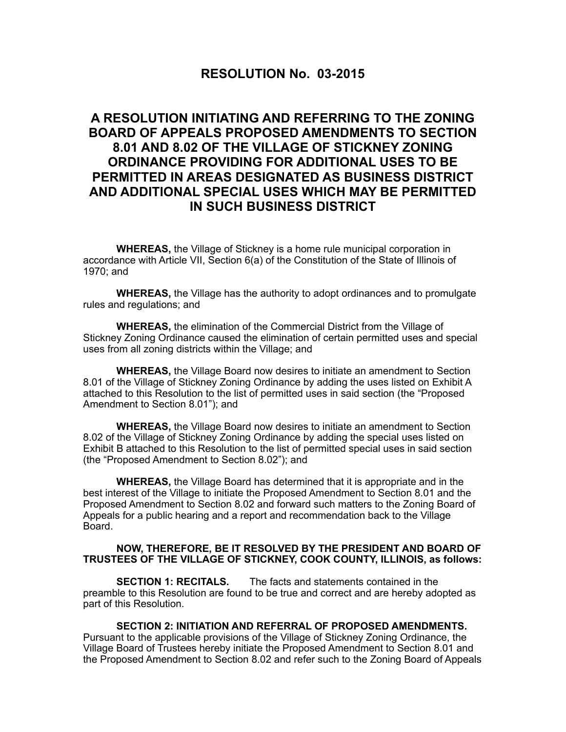#### **RESOLUTION No. 03-2015**

#### **A RESOLUTION INITIATING AND REFERRING TO THE ZONING BOARD OF APPEALS PROPOSED AMENDMENTS TO SECTION 8.01 AND 8.02 OF THE VILLAGE OF STICKNEY ZONING ORDINANCE PROVIDING FOR ADDITIONAL USES TO BE PERMITTED IN AREAS DESIGNATED AS BUSINESS DISTRICT AND ADDITIONAL SPECIAL USES WHICH MAY BE PERMITTED IN SUCH BUSINESS DISTRICT**

 **WHEREAS,** the Village of Stickney is a home rule municipal corporation in accordance with Article VII, Section 6(a) of the Constitution of the State of Illinois of 1970; and

**WHEREAS,** the Village has the authority to adopt ordinances and to promulgate rules and regulations; and

**WHEREAS,** the elimination of the Commercial District from the Village of Stickney Zoning Ordinance caused the elimination of certain permitted uses and special uses from all zoning districts within the Village; and

**WHEREAS,** the Village Board now desires to initiate an amendment to Section 8.01 of the Village of Stickney Zoning Ordinance by adding the uses listed on Exhibit A attached to this Resolution to the list of permitted uses in said section (the "Proposed Amendment to Section 8.01"); and

**WHEREAS,** the Village Board now desires to initiate an amendment to Section 8.02 of the Village of Stickney Zoning Ordinance by adding the special uses listed on Exhibit B attached to this Resolution to the list of permitted special uses in said section (the "Proposed Amendment to Section 8.02"); and

**WHEREAS,** the Village Board has determined that it is appropriate and in the best interest of the Village to initiate the Proposed Amendment to Section 8.01 and the Proposed Amendment to Section 8.02 and forward such matters to the Zoning Board of Appeals for a public hearing and a report and recommendation back to the Village Board.

#### **NOW, THEREFORE, BE IT RESOLVED BY THE PRESIDENT AND BOARD OF TRUSTEES OF THE VILLAGE OF STICKNEY, COOK COUNTY, ILLINOIS, as follows:**

**SECTION 1: RECITALS.** The facts and statements contained in the preamble to this Resolution are found to be true and correct and are hereby adopted as part of this Resolution.

**SECTION 2: INITIATION AND REFERRAL OF PROPOSED AMENDMENTS.**  Pursuant to the applicable provisions of the Village of Stickney Zoning Ordinance, the Village Board of Trustees hereby initiate the Proposed Amendment to Section 8.01 and the Proposed Amendment to Section 8.02 and refer such to the Zoning Board of Appeals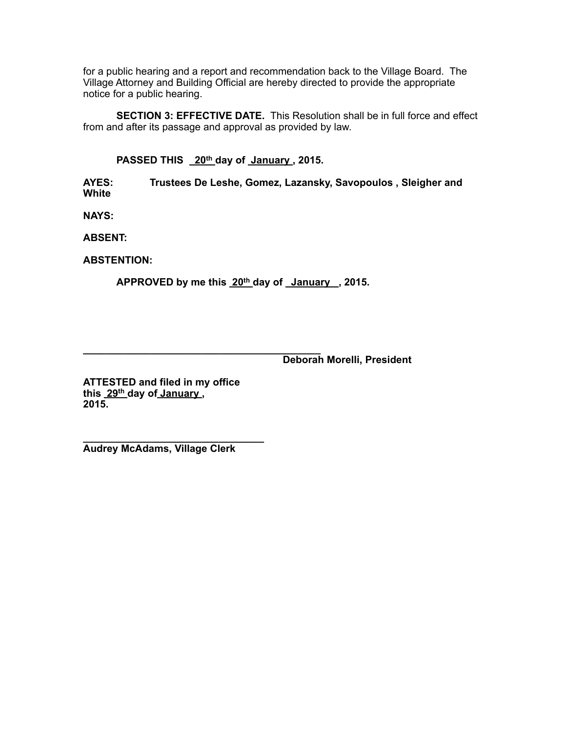for a public hearing and a report and recommendation back to the Village Board. The Village Attorney and Building Official are hereby directed to provide the appropriate notice for a public hearing.

**SECTION 3: EFFECTIVE DATE.** This Resolution shall be in full force and effect from and after its passage and approval as provided by law.

PASSED THIS 20<sup>th</sup> day of January, 2015.

**AYES: Trustees De Leshe, Gomez, Lazansky, Savopoulos , Sleigher and White**

**NAYS:**

**ABSENT:**

**ABSTENTION:**

 **APPROVED by me this 20th day of January , 2015.**

**\_\_\_\_\_\_\_\_\_\_\_\_\_\_\_\_\_\_\_\_\_\_\_\_\_\_\_\_\_\_\_\_\_\_\_\_\_\_\_\_\_\_ Deborah Morelli, President**

**ATTESTED and filed in my office this 29th day of January , 2015.**

**\_\_\_\_\_\_\_\_\_\_\_\_\_\_\_\_\_\_\_\_\_\_\_\_\_\_\_\_\_\_\_\_ Audrey McAdams, Village Clerk**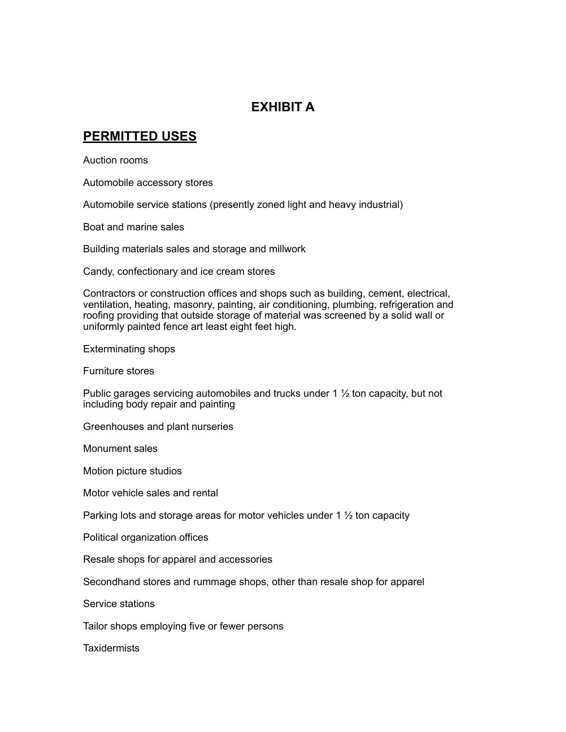## **EXHIBIT A**

## **PERMITTED USES**

Auction rooms

Automobile accessory stores

Automobile service stations (presently zoned light and heavy industrial)

Boat and marine sales

Building materials sales and storage and millwork

Candy, confectionary and ice cream stores

Contractors or construction offices and shops such as building, cement, electrical, ventilation, heating, masonry, painting, air conditioning, plumbing, refrigeration and roofing providing that outside storage of material was screened by a solid wall or uniformly painted fence art least eight feet high.

Exterminating shops

Furniture stores

Public garages servicing automobiles and trucks under 1 ½ ton capacity, but not including body repair and painting

Greenhouses and plant nurseries

Monument sales

Motion picture studios

Motor vehicle sales and rental

Parking lots and storage areas for motor vehicles under 1 ½ ton capacity

Political organization offices

Resale shops for apparel and accessories

Secondhand stores and rummage shops, other than resale shop for apparel

Service stations

Tailor shops employing five or fewer persons

**Taxidermists**